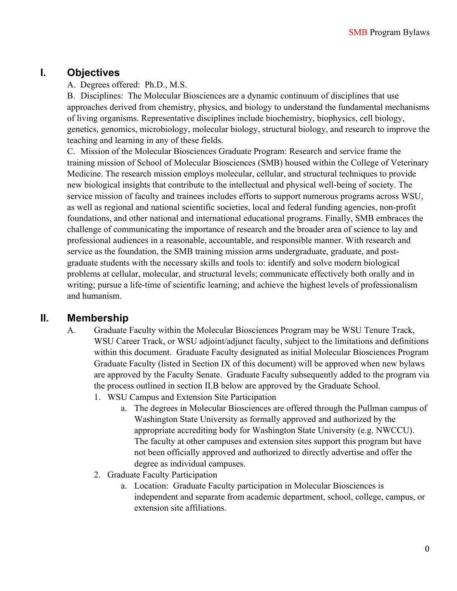### **I. Objectives**

#### A. Degrees offered: Ph.D., M.S.

B. Disciplines: The Molecular Biosciences are a dynamic continuum of disciplines that use approaches derived from chemistry, physics, and biology to understand the fundamental mechanisms of living organisms. Representative disciplines include biochemistry, biophysics, cell biology, genetics, genomics, microbiology, molecular biology, structural biology, and research to improve the teaching and learning in any of these fields.

C. Mission of the Molecular Biosciences Graduate Program: Research and service frame the training mission of School of Molecular Biosciences (SMB) housed within the College of Veterinary Medicine. The research mission employs molecular, cellular, and structural techniques to provide new biological insights that contribute to the intellectual and physical well-being of society. The service mission of faculty and trainees includes efforts to support numerous programs across WSU, as well as regional and national scientific societies, local and federal funding agencies, non-profit foundations, and other national and international educational programs. Finally, SMB embraces the challenge of communicating the importance of research and the broader area of science to lay and professional audiences in a reasonable, accountable, and responsible manner. With research and service as the foundation, the SMB training mission arms undergraduate, graduate, and postgraduate students with the necessary skills and tools to: identify and solve modern biological problems at cellular, molecular, and structural levels; communicate effectively both orally and in writing; pursue a life-time of scientific learning; and achieve the highest levels of professionalism and humanism.

### **II. Membership**

- A. Graduate Faculty within the Molecular Biosciences Program may be WSU Tenure Track, WSU Career Track, or WSU adjoint/adjunct faculty, subject to the limitations and definitions within this document. Graduate Faculty designated as initial Molecular Biosciences Program Graduate Faculty (listed in Section IX of this document) will be approved when new bylaws are approved by the Faculty Senate. Graduate Faculty subsequently added to the program via the process outlined in section II.B below are approved by the Graduate School.
	- 1. WSU Campus and Extension Site Participation
		- a. The degrees in Molecular Biosciences are offered through the Pullman campus of Washington State University as formally approved and authorized by the appropriate accrediting body for Washington State University (e.g. NWCCU). The faculty at other campuses and extension sites support this program but have not been officially approved and authorized to directly advertise and offer the degree as individual campuses.
	- 2. Graduate Faculty Participation
		- a. Location: Graduate Faculty participation in Molecular Biosciences is independent and separate from academic department, school, college, campus, or extension site affiliations.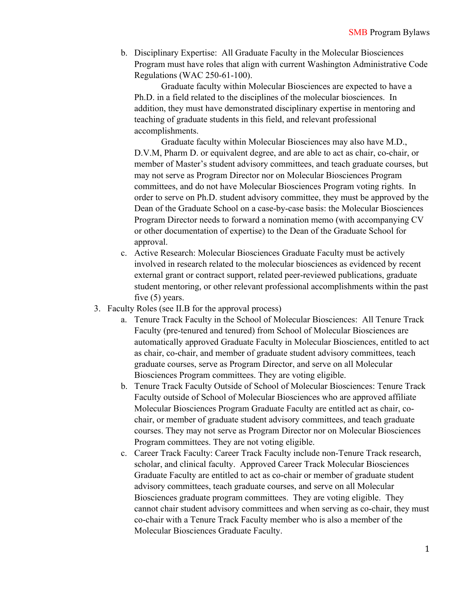b. Disciplinary Expertise: All Graduate Faculty in the Molecular Biosciences Program must have roles that align with current Washington Administrative Code Regulations (WAC 250-61-100).

Graduate faculty within Molecular Biosciences are expected to have a Ph.D. in a field related to the disciplines of the molecular biosciences. In addition, they must have demonstrated disciplinary expertise in mentoring and teaching of graduate students in this field, and relevant professional accomplishments.

Graduate faculty within Molecular Biosciences may also have M.D., D.V.M, Pharm D. or equivalent degree, and are able to act as chair, co-chair, or member of Master's student advisory committees, and teach graduate courses, but may not serve as Program Director nor on Molecular Biosciences Program committees, and do not have Molecular Biosciences Program voting rights. In order to serve on Ph.D. student advisory committee, they must be approved by the Dean of the Graduate School on a case-by-case basis: the Molecular Biosciences Program Director needs to forward a nomination memo (with accompanying CV or other documentation of expertise) to the Dean of the Graduate School for approval.

- c. Active Research: Molecular Biosciences Graduate Faculty must be actively involved in research related to the molecular biosciences as evidenced by recent external grant or contract support, related peer-reviewed publications, graduate student mentoring, or other relevant professional accomplishments within the past five (5) years.
- 3. Faculty Roles (see II.B for the approval process)
	- a. Tenure Track Faculty in the School of Molecular Biosciences: All Tenure Track Faculty (pre-tenured and tenured) from School of Molecular Biosciences are automatically approved Graduate Faculty in Molecular Biosciences, entitled to act as chair, co-chair, and member of graduate student advisory committees, teach graduate courses, serve as Program Director, and serve on all Molecular Biosciences Program committees. They are voting eligible.
	- b. Tenure Track Faculty Outside of School of Molecular Biosciences: Tenure Track Faculty outside of School of Molecular Biosciences who are approved affiliate Molecular Biosciences Program Graduate Faculty are entitled act as chair, cochair, or member of graduate student advisory committees, and teach graduate courses. They may not serve as Program Director nor on Molecular Biosciences Program committees. They are not voting eligible.
	- c. Career Track Faculty: Career Track Faculty include non-Tenure Track research, scholar, and clinical faculty. Approved Career Track Molecular Biosciences Graduate Faculty are entitled to act as co-chair or member of graduate student advisory committees, teach graduate courses, and serve on all Molecular Biosciences graduate program committees. They are voting eligible. They cannot chair student advisory committees and when serving as co-chair, they must co-chair with a Tenure Track Faculty member who is also a member of the Molecular Biosciences Graduate Faculty.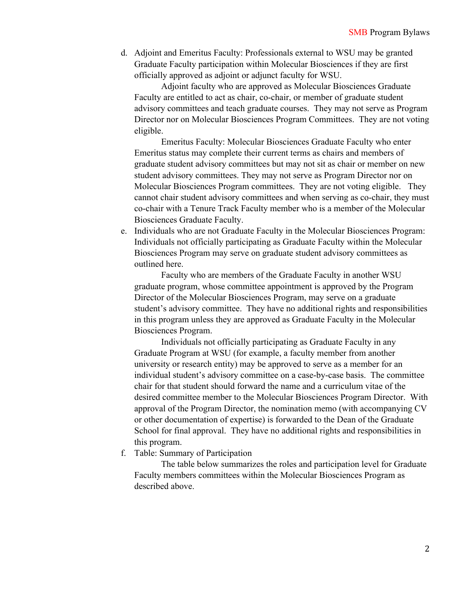d. Adjoint and Emeritus Faculty: Professionals external to WSU may be granted Graduate Faculty participation within Molecular Biosciences if they are first officially approved as adjoint or adjunct faculty for WSU.

Adjoint faculty who are approved as Molecular Biosciences Graduate Faculty are entitled to act as chair, co-chair, or member of graduate student advisory committees and teach graduate courses. They may not serve as Program Director nor on Molecular Biosciences Program Committees. They are not voting eligible.

Emeritus Faculty: Molecular Biosciences Graduate Faculty who enter Emeritus status may complete their current terms as chairs and members of graduate student advisory committees but may not sit as chair or member on new student advisory committees. They may not serve as Program Director nor on Molecular Biosciences Program committees. They are not voting eligible. They cannot chair student advisory committees and when serving as co-chair, they must co-chair with a Tenure Track Faculty member who is a member of the Molecular Biosciences Graduate Faculty.

e. Individuals who are not Graduate Faculty in the Molecular Biosciences Program: Individuals not officially participating as Graduate Faculty within the Molecular Biosciences Program may serve on graduate student advisory committees as outlined here.

Faculty who are members of the Graduate Faculty in another WSU graduate program, whose committee appointment is approved by the Program Director of the Molecular Biosciences Program, may serve on a graduate student's advisory committee. They have no additional rights and responsibilities in this program unless they are approved as Graduate Faculty in the Molecular Biosciences Program.

Individuals not officially participating as Graduate Faculty in any Graduate Program at WSU (for example, a faculty member from another university or research entity) may be approved to serve as a member for an individual student's advisory committee on a case-by-case basis. The committee chair for that student should forward the name and a curriculum vitae of the desired committee member to the Molecular Biosciences Program Director. With approval of the Program Director, the nomination memo (with accompanying CV or other documentation of expertise) is forwarded to the Dean of the Graduate School for final approval. They have no additional rights and responsibilities in this program.

f. Table: Summary of Participation

The table below summarizes the roles and participation level for Graduate Faculty members committees within the Molecular Biosciences Program as described above.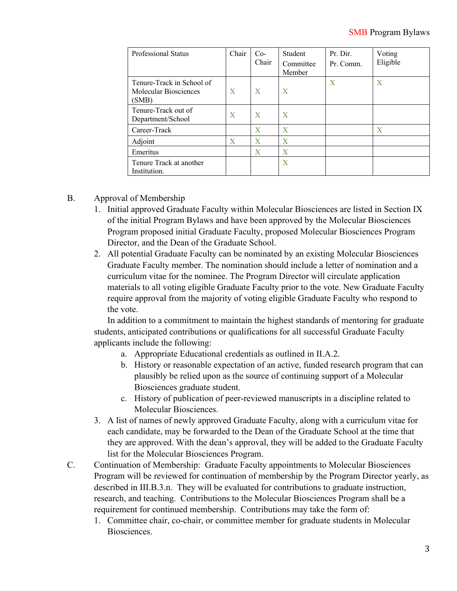| Professional Status                                         | Chair | $Co-$<br>Chair | Student<br>Committee<br>Member | Pr. Dir.<br>Pr. Comm. | Voting<br>Eligible |
|-------------------------------------------------------------|-------|----------------|--------------------------------|-----------------------|--------------------|
| Tenure-Track in School of<br>Molecular Biosciences<br>(SMB) | X     | X              | X                              | X                     | X                  |
| Tenure-Track out of<br>Department/School                    | X     | X              | $\mathbf{X}$                   |                       |                    |
| Career-Track                                                |       | X              | $\mathbf{X}$                   |                       | X                  |
| Adjoint                                                     | X     | X              | X                              |                       |                    |
| Emeritus                                                    |       | X              | X                              |                       |                    |
| Tenure Track at another<br>Institution.                     |       |                | X                              |                       |                    |

### B. Approval of Membership

- 1. Initial approved Graduate Faculty within Molecular Biosciences are listed in Section IX of the initial Program Bylaws and have been approved by the Molecular Biosciences Program proposed initial Graduate Faculty, proposed Molecular Biosciences Program Director, and the Dean of the Graduate School.
- 2. All potential Graduate Faculty can be nominated by an existing Molecular Biosciences Graduate Faculty member. The nomination should include a letter of nomination and a curriculum vitae for the nominee. The Program Director will circulate application materials to all voting eligible Graduate Faculty prior to the vote. New Graduate Faculty require approval from the majority of voting eligible Graduate Faculty who respond to the vote.

In addition to a commitment to maintain the highest standards of mentoring for graduate students, anticipated contributions or qualifications for all successful Graduate Faculty applicants include the following:

- a. Appropriate Educational credentials as outlined in II.A.2.
- b. History or reasonable expectation of an active, funded research program that can plausibly be relied upon as the source of continuing support of a Molecular Biosciences graduate student.
- c. History of publication of peer-reviewed manuscripts in a discipline related to Molecular Biosciences.
- 3. A list of names of newly approved Graduate Faculty, along with a curriculum vitae for each candidate, may be forwarded to the Dean of the Graduate School at the time that they are approved. With the dean's approval, they will be added to the Graduate Faculty list for the Molecular Biosciences Program.
- C. Continuation of Membership: Graduate Faculty appointments to Molecular Biosciences Program will be reviewed for continuation of membership by the Program Director yearly, as described in III.B.3.n. They will be evaluated for contributions to graduate instruction, research, and teaching. Contributions to the Molecular Biosciences Program shall be a requirement for continued membership. Contributions may take the form of:
	- 1. Committee chair, co-chair, or committee member for graduate students in Molecular Biosciences.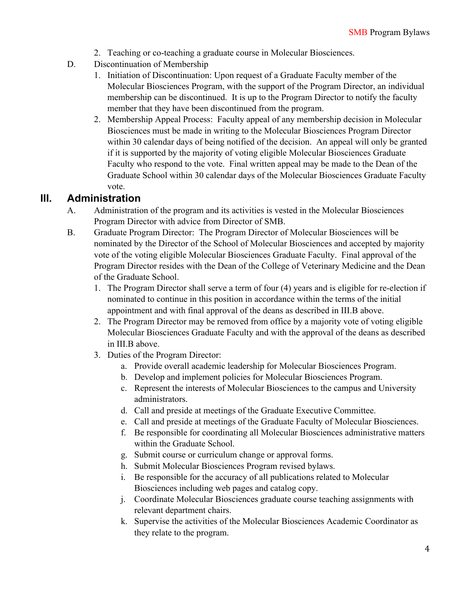- 2. Teaching or co-teaching a graduate course in Molecular Biosciences.
- D. Discontinuation of Membership
	- 1. Initiation of Discontinuation: Upon request of a Graduate Faculty member of the Molecular Biosciences Program, with the support of the Program Director, an individual membership can be discontinued. It is up to the Program Director to notify the faculty member that they have been discontinued from the program.
	- 2. Membership Appeal Process: Faculty appeal of any membership decision in Molecular Biosciences must be made in writing to the Molecular Biosciences Program Director within 30 calendar days of being notified of the decision. An appeal will only be granted if it is supported by the majority of voting eligible Molecular Biosciences Graduate Faculty who respond to the vote. Final written appeal may be made to the Dean of the Graduate School within 30 calendar days of the Molecular Biosciences Graduate Faculty vote.

### **III. Administration**

- A. Administration of the program and its activities is vested in the Molecular Biosciences Program Director with advice from Director of SMB.
- B. Graduate Program Director: The Program Director of Molecular Biosciences will be nominated by the Director of the School of Molecular Biosciences and accepted by majority vote of the voting eligible Molecular Biosciences Graduate Faculty. Final approval of the Program Director resides with the Dean of the College of Veterinary Medicine and the Dean of the Graduate School.
	- 1. The Program Director shall serve a term of four (4) years and is eligible for re-election if nominated to continue in this position in accordance within the terms of the initial appointment and with final approval of the deans as described in III.B above.
	- 2. The Program Director may be removed from office by a majority vote of voting eligible Molecular Biosciences Graduate Faculty and with the approval of the deans as described in III.B above.
	- 3. Duties of the Program Director:
		- a. Provide overall academic leadership for Molecular Biosciences Program.
		- b. Develop and implement policies for Molecular Biosciences Program.
		- c. Represent the interests of Molecular Biosciences to the campus and University administrators.
		- d. Call and preside at meetings of the Graduate Executive Committee.
		- e. Call and preside at meetings of the Graduate Faculty of Molecular Biosciences.
		- f. Be responsible for coordinating all Molecular Biosciences administrative matters within the Graduate School.
		- g. Submit course or curriculum change or approval forms.
		- h. Submit Molecular Biosciences Program revised bylaws.
		- i. Be responsible for the accuracy of all publications related to Molecular Biosciences including web pages and catalog copy.
		- j. Coordinate Molecular Biosciences graduate course teaching assignments with relevant department chairs.
		- k. Supervise the activities of the Molecular Biosciences Academic Coordinator as they relate to the program.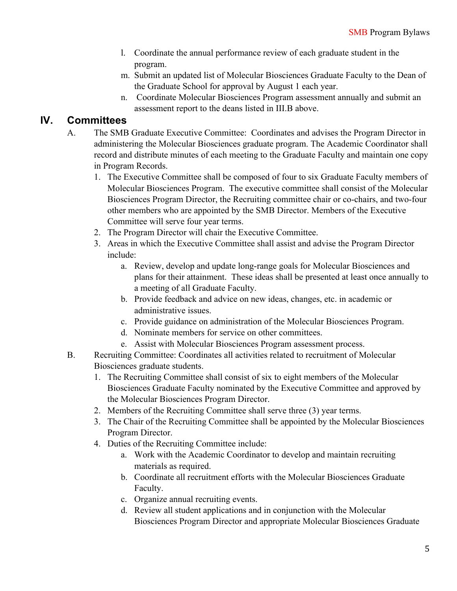- l. Coordinate the annual performance review of each graduate student in the program.
- m. Submit an updated list of Molecular Biosciences Graduate Faculty to the Dean of the Graduate School for approval by August 1 each year.
- n. Coordinate Molecular Biosciences Program assessment annually and submit an assessment report to the deans listed in III.B above.

# **IV. Committees**

- A. The SMB Graduate Executive Committee: Coordinates and advises the Program Director in administering the Molecular Biosciences graduate program. The Academic Coordinator shall record and distribute minutes of each meeting to the Graduate Faculty and maintain one copy in Program Records.
	- 1. The Executive Committee shall be composed of four to six Graduate Faculty members of Molecular Biosciences Program. The executive committee shall consist of the Molecular Biosciences Program Director, the Recruiting committee chair or co-chairs, and two-four other members who are appointed by the SMB Director. Members of the Executive Committee will serve four year terms.
	- 2. The Program Director will chair the Executive Committee.
	- 3. Areas in which the Executive Committee shall assist and advise the Program Director include:
		- a. Review, develop and update long-range goals for Molecular Biosciences and plans for their attainment. These ideas shall be presented at least once annually to a meeting of all Graduate Faculty.
		- b. Provide feedback and advice on new ideas, changes, etc. in academic or administrative issues.
		- c. Provide guidance on administration of the Molecular Biosciences Program.
		- d. Nominate members for service on other committees.
		- e. Assist with Molecular Biosciences Program assessment process.
- B. Recruiting Committee: Coordinates all activities related to recruitment of Molecular Biosciences graduate students.
	- 1. The Recruiting Committee shall consist of six to eight members of the Molecular Biosciences Graduate Faculty nominated by the Executive Committee and approved by the Molecular Biosciences Program Director.
	- 2. Members of the Recruiting Committee shall serve three (3) year terms.
	- 3. The Chair of the Recruiting Committee shall be appointed by the Molecular Biosciences Program Director.
	- 4. Duties of the Recruiting Committee include:
		- a. Work with the Academic Coordinator to develop and maintain recruiting materials as required.
		- b. Coordinate all recruitment efforts with the Molecular Biosciences Graduate Faculty.
		- c. Organize annual recruiting events.
		- d. Review all student applications and in conjunction with the Molecular Biosciences Program Director and appropriate Molecular Biosciences Graduate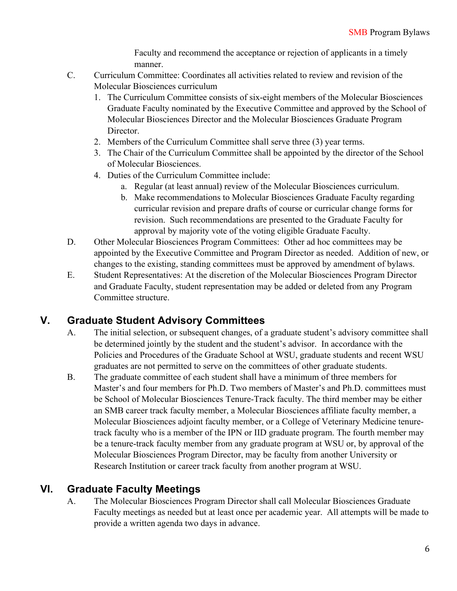Faculty and recommend the acceptance or rejection of applicants in a timely manner.

- C. Curriculum Committee: Coordinates all activities related to review and revision of the Molecular Biosciences curriculum
	- 1. The Curriculum Committee consists of six-eight members of the Molecular Biosciences Graduate Faculty nominated by the Executive Committee and approved by the School of Molecular Biosciences Director and the Molecular Biosciences Graduate Program Director.
	- 2. Members of the Curriculum Committee shall serve three (3) year terms.
	- 3. The Chair of the Curriculum Committee shall be appointed by the director of the School of Molecular Biosciences.
	- 4. Duties of the Curriculum Committee include:
		- a. Regular (at least annual) review of the Molecular Biosciences curriculum.
		- b. Make recommendations to Molecular Biosciences Graduate Faculty regarding curricular revision and prepare drafts of course or curricular change forms for revision. Such recommendations are presented to the Graduate Faculty for approval by majority vote of the voting eligible Graduate Faculty.
- D. Other Molecular Biosciences Program Committees: Other ad hoc committees may be appointed by the Executive Committee and Program Director as needed. Addition of new, or changes to the existing, standing committees must be approved by amendment of bylaws.
- E. Student Representatives: At the discretion of the Molecular Biosciences Program Director and Graduate Faculty, student representation may be added or deleted from any Program Committee structure.

# **V. Graduate Student Advisory Committees**

- A. The initial selection, or subsequent changes, of a graduate student's advisory committee shall be determined jointly by the student and the student's advisor. In accordance with the Policies and Procedures of the Graduate School at WSU, graduate students and recent WSU graduates are not permitted to serve on the committees of other graduate students.
- B. The graduate committee of each student shall have a minimum of three members for Master's and four members for Ph.D. Two members of Master's and Ph.D. committees must be School of Molecular Biosciences Tenure-Track faculty. The third member may be either an SMB career track faculty member, a Molecular Biosciences affiliate faculty member, a Molecular Biosciences adjoint faculty member, or a College of Veterinary Medicine tenuretrack faculty who is a member of the IPN or IID graduate program. The fourth member may be a tenure-track faculty member from any graduate program at WSU or, by approval of the Molecular Biosciences Program Director, may be faculty from another University or Research Institution or career track faculty from another program at WSU.

# **VI. Graduate Faculty Meetings**

A. The Molecular Biosciences Program Director shall call Molecular Biosciences Graduate Faculty meetings as needed but at least once per academic year. All attempts will be made to provide a written agenda two days in advance.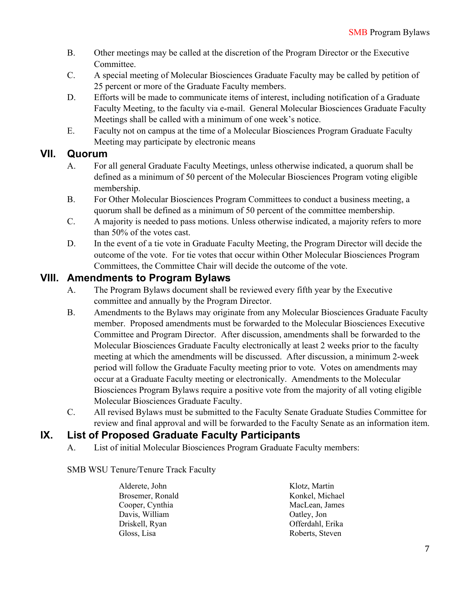- B. Other meetings may be called at the discretion of the Program Director or the Executive Committee.
- C. A special meeting of Molecular Biosciences Graduate Faculty may be called by petition of 25 percent or more of the Graduate Faculty members.
- D. Efforts will be made to communicate items of interest, including notification of a Graduate Faculty Meeting, to the faculty via e-mail. General Molecular Biosciences Graduate Faculty Meetings shall be called with a minimum of one week's notice.
- E. Faculty not on campus at the time of a Molecular Biosciences Program Graduate Faculty Meeting may participate by electronic means

## **VII. Quorum**

- A. For all general Graduate Faculty Meetings, unless otherwise indicated, a quorum shall be defined as a minimum of 50 percent of the Molecular Biosciences Program voting eligible membership.
- B. For Other Molecular Biosciences Program Committees to conduct a business meeting, a quorum shall be defined as a minimum of 50 percent of the committee membership.
- C. A majority is needed to pass motions. Unless otherwise indicated, a majority refers to more than 50% of the votes cast.
- D. In the event of a tie vote in Graduate Faculty Meeting, the Program Director will decide the outcome of the vote. For tie votes that occur within Other Molecular Biosciences Program Committees, the Committee Chair will decide the outcome of the vote.

# **VIII. Amendments to Program Bylaws**

- A. The Program Bylaws document shall be reviewed every fifth year by the Executive committee and annually by the Program Director.
- B. Amendments to the Bylaws may originate from any Molecular Biosciences Graduate Faculty member. Proposed amendments must be forwarded to the Molecular Biosciences Executive Committee and Program Director. After discussion, amendments shall be forwarded to the Molecular Biosciences Graduate Faculty electronically at least 2 weeks prior to the faculty meeting at which the amendments will be discussed. After discussion, a minimum 2-week period will follow the Graduate Faculty meeting prior to vote. Votes on amendments may occur at a Graduate Faculty meeting or electronically. Amendments to the Molecular Biosciences Program Bylaws require a positive vote from the majority of all voting eligible Molecular Biosciences Graduate Faculty.
- C. All revised Bylaws must be submitted to the Faculty Senate Graduate Studies Committee for review and final approval and will be forwarded to the Faculty Senate as an information item.

# **IX. List of Proposed Graduate Faculty Participants**

A. List of initial Molecular Biosciences Program Graduate Faculty members:

### SMB WSU Tenure/Tenure Track Faculty

| Alderete, John   | Klotz, Martin    |
|------------------|------------------|
| Brosemer, Ronald | Konkel, Michael  |
| Cooper, Cynthia  | MacLean, James   |
| Davis, William   | Oatley, Jon      |
| Driskell, Ryan   | Offerdahl, Erika |
| Gloss, Lisa      | Roberts, Steven  |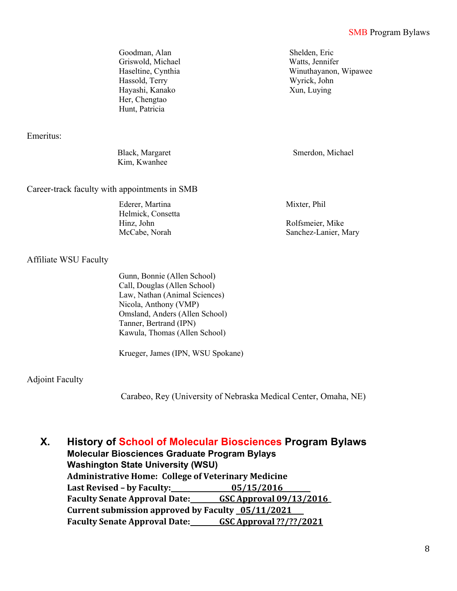Goodman, Alan Shelden, Eric Griswold, Michael Watts, Jennifer Haseltine, Cynthia Winuthayanon, Wipawee Hassold, Terry Wyrick, John Hayashi, Kanako Her, Chengtao Hunt, Patricia

Emeritus:

Black, Margaret Smerdon, Michael Kim, Kwanhee

Career-track faculty with appointments in SMB

Ederer, Martina Helmick, Consetta Hinz, John Rolfsmeier, Mike

Mixter, Phil

Xun, Luying

McCabe, Norah Sanchez-Lanier, Mary

#### Affiliate WSU Faculty

Gunn, Bonnie (Allen School) Call, Douglas (Allen School) Law, Nathan (Animal Sciences) Nicola, Anthony (VMP) Omsland, Anders (Allen School) Tanner, Bertrand (IPN) Kawula, Thomas (Allen School)

Krueger, James (IPN, WSU Spokane)

### Adjoint Faculty

Carabeo, Rey (University of Nebraska Medical Center, Omaha, NE)

**X. History of School of Molecular Biosciences Program Bylaws Molecular Biosciences Graduate Program Bylays Washington State University (WSU) Administrative Home: College of Veterinary Medicine Last Revised – by Faculty:** 05/15/2016 **Faculty Senate Approval Date: GSC Approval 09/13/2016\_** Current submission approved by Faculty 05/11/2021 **Faculty Senate Approval Date: GSC Approval ??/??/2021**